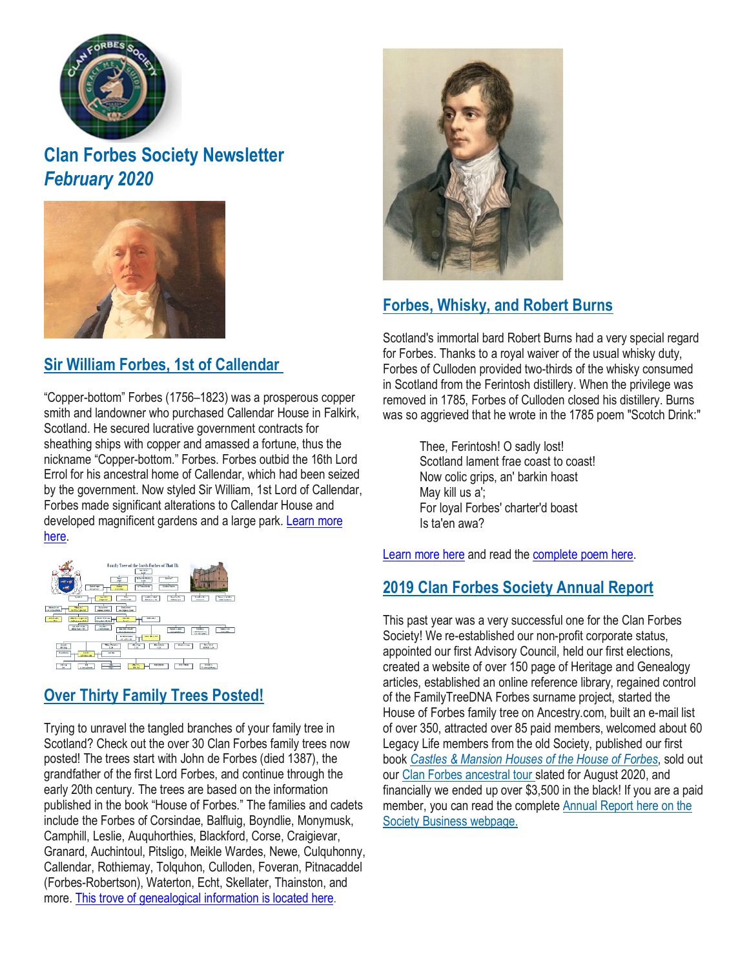

# **Clan Forbes Society Newsletter** *February 2020*



### **Sir William Forbes, 1st of [Callendar](https://www.clan-forbes.org/william-forbes-callendar)**

"Copper-bottom" Forbes (1756–1823) was a prosperous copper smith and landowner who purchased Callendar House in Falkirk, Scotland. He secured lucrative government contracts for sheathing ships with copper and amassed a fortune, thus the nickname "Copper-bottom." Forbes. Forbes outbid the 16th Lord Errol for his ancestral home of Callendar, which had been seized by the government. Now styled Sir William, 1st Lord of Callendar, Forbes made significant alterations to Callendar House and developed magnificent gardens and a large park. [Learn](https://www.clan-forbes.org/william-forbes-callendar) more [here.](https://www.clan-forbes.org/william-forbes-callendar)



# **Over Thirty Family Trees [Posted!](https://www.clan-forbes.org/house-of-forbes)**

Trying to unravel the tangled branches of your family tree in Scotland? Check out the over 30 Clan Forbes family trees now posted! The trees start with John de Forbes (died 1387), the grandfather of the first Lord Forbes, and continue through the early 20th century. The trees are based on the information published in the book "House of Forbes." The families and cadets include the Forbes of Corsindae, Balfluig, Boyndlie, Monymusk, Camphill, Leslie, Auquhorthies, Blackford, Corse, Craigievar, Granard, Auchintoul, Pitsligo, Meikle Wardes, Newe, Culquhonny, Callendar, Rothiemay, Tolquhon, Culloden, Foveran, Pitnacaddel (Forbes-Robertson), Waterton, Echt, Skellater, Thainston, and more. This trove of [genealogical](https://www.clan-forbes.org/house-of-forbes) information is located here.



# **Forbes, [Whisky,](https://www.clan-forbes.org/whisky) and Robert Burns**

Scotland's immortal bard Robert Burns had a very special regard for Forbes. Thanks to a royal waiver of the usual whisky duty, Forbes of Culloden provided two-thirds of the whisky consumed in Scotland from the Ferintosh distillery. When the privilege was removed in 1785, Forbes of Culloden closed his distillery. Burns was so aggrieved that he wrote in the 1785 poem "Scotch Drink:"

> Thee, Ferintosh! O sadly lost! Scotland lament frae coast to coast! Now colic grips, an' barkin hoast May kill us a'; For loyal Forbes' charter'd boast Is ta'en awa?

[Learn](https://www.clan-forbes.org/whisky) more here and read the [complete](https://www.clan-forbes.org/scotchdrink) poem here.

#### **2019 Clan Forbes [Society](https://www.clan-forbes.org/society-business) Annual Report**

This past year was a very successful one for the Clan Forbes Society! We re-established our non-profit corporate status, appointed our first Advisory Council, held our first elections, created a website of over 150 page of Heritage and Genealogy articles, established an online reference library, regained control of the FamilyTreeDNA Forbes surname project, started the House of Forbes family tree on Ancestry.com, built an e-mail list of over 350, attracted over 85 paid members, welcomed about 60 Legacy Life members from the old Society, published our first book *Castles & [Mansion](https://www.clan-forbes.org/castles-book) Houses of the House of Forbes*, sold out our Clan Forbes [ancestral](https://www.clan-forbes.org/) tour slated for August 2020, and financially we ended up over \$3,500 in the black! If you are a paid member, you can read the complete [Annual](https://www.clan-forbes.org/society-business) Report here on the Society Business [webpage.](https://www.clan-forbes.org/society-business)